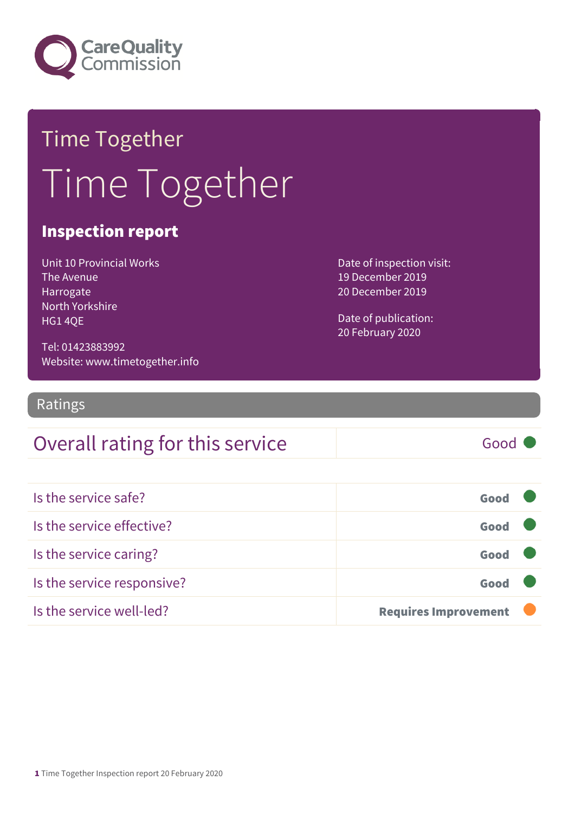

## Time Together Time Together

#### Inspection report

| Unit 10 Provincial Works |
|--------------------------|
| The Avenue               |
| Harrogate                |
| North Yorkshire          |
| <b>HG140E</b>            |

Date of inspection visit: 19 December 2019 20 December 2019

Date of publication: 20 February 2020

Tel: 01423883992 Website: www.timetogether.info

Ratings

### Overall rating for this service Fig. 6000

Is the service safe? Good Is the service effective? Good Is the service caring? Good Is the service responsive? Good Is the service well-led? **Requires Improvement**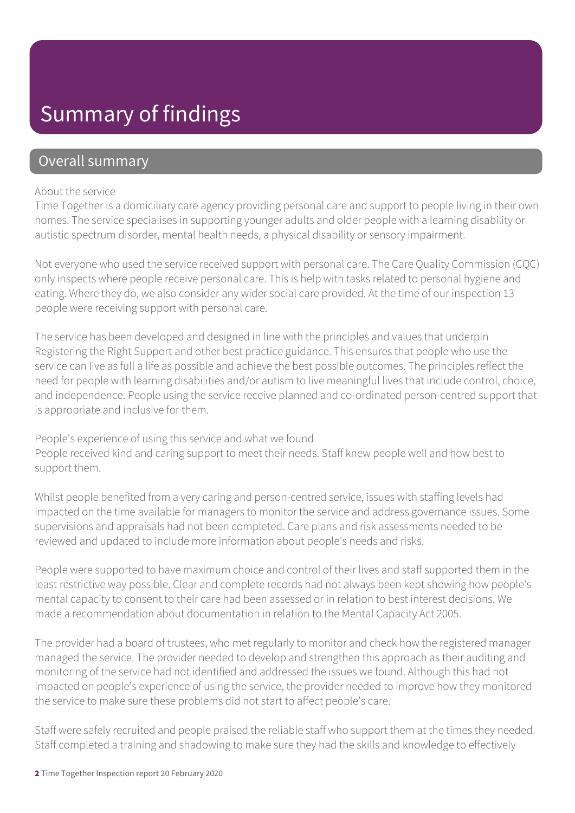### Summary of findings

#### Overall summary

#### About the service

Time Together is a domiciliary care agency providing personal care and support to people living in their own homes. The service specialises in supporting younger adults and older people with a learning disability or autistic spectrum disorder, mental health needs, a physical disability or sensory impairment.

Not everyone who used the service received support with personal care. The Care Quality Commission (CQC) only inspects where people receive personal care. This is help with tasks related to personal hygiene and eating. Where they do, we also consider any wider social care provided. At the time of our inspection 13 people were receiving support with personal care.

The service has been developed and designed in line with the principles and values that underpin Registering the Right Support and other best practice guidance. This ensures that people who use the service can live as full a life as possible and achieve the best possible outcomes. The principles reflect the need for people with learning disabilities and/or autism to live meaningful lives that include control, choice, and independence. People using the service receive planned and co-ordinated person-centred support that is appropriate and inclusive for them.

People's experience of using this service and what we found People received kind and caring support to meet their needs. Staff knew people well and how best to support them.

Whilst people benefited from a very caring and person-centred service, issues with staffing levels had impacted on the time available for managers to monitor the service and address governance issues. Some supervisions and appraisals had not been completed. Care plans and risk assessments needed to be reviewed and updated to include more information about people's needs and risks.

People were supported to have maximum choice and control of their lives and staff supported them in the least restrictive way possible. Clear and complete records had not always been kept showing how people's mental capacity to consent to their care had been assessed or in relation to best interest decisions. We made a recommendation about documentation in relation to the Mental Capacity Act 2005.

The provider had a board of trustees, who met regularly to monitor and check how the registered manager managed the service. The provider needed to develop and strengthen this approach as their auditing and monitoring of the service had not identified and addressed the issues we found. Although this had not impacted on people's experience of using the service, the provider needed to improve how they monitored the service to make sure these problems did not start to affect people's care.

Staff were safely recruited and people praised the reliable staff who support them at the times they needed. Staff completed a training and shadowing to make sure they had the skills and knowledge to effectively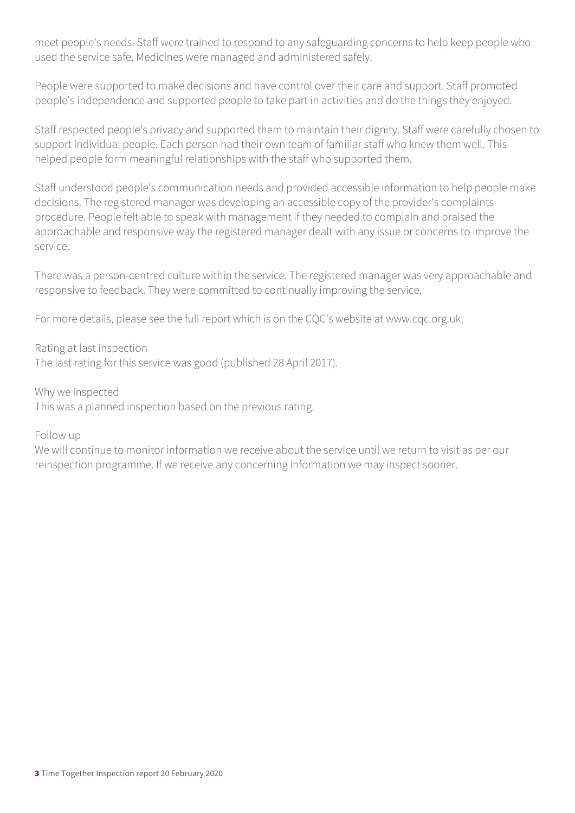meet people's needs. Staff were trained to respond to any safeguarding concerns to help keep people who used the service safe. Medicines were managed and administered safely.

People were supported to make decisions and have control over their care and support. Staff promoted people's independence and supported people to take part in activities and do the things they enjoyed.

Staff respected people's privacy and supported them to maintain their dignity. Staff were carefully chosen to support individual people. Each person had their own team of familiar staff who knew them well. This helped people form meaningful relationships with the staff who supported them.

Staff understood people's communication needs and provided accessible information to help people make decisions. The registered manager was developing an accessible copy of the provider's complaints procedure. People felt able to speak with management if they needed to complain and praised the approachable and responsive way the registered manager dealt with any issue or concerns to improve the service.

There was a person-centred culture within the service. The registered manager was very approachable and responsive to feedback. They were committed to continually improving the service.

For more details, please see the full report which is on the CQC's website at www.cqc.org.uk.

Rating at last inspection The last rating for this service was good (published 28 April 2017).

Why we inspected This was a planned inspection based on the previous rating.

Follow up

We will continue to monitor information we receive about the service until we return to visit as per our reinspection programme. If we receive any concerning information we may inspect sooner.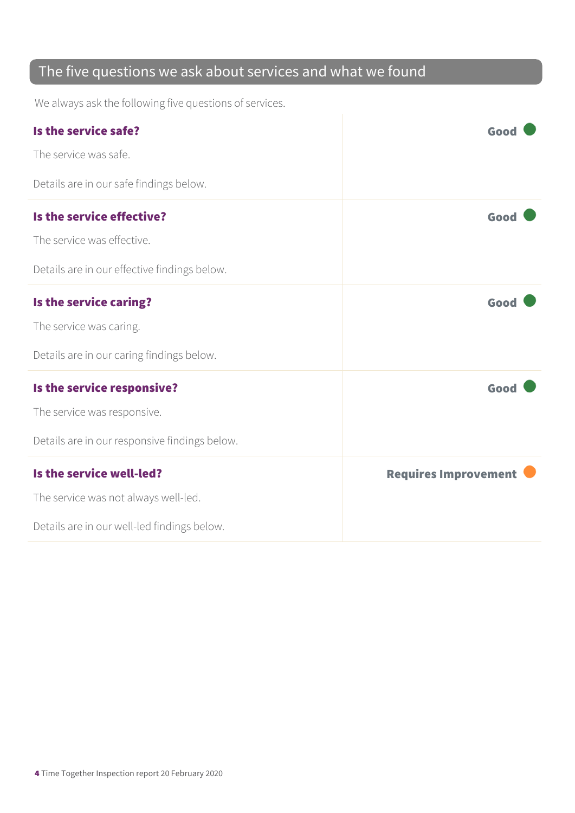### The five questions we ask about services and what we found

We always ask the following five questions of services.

| Is the service safe?                          | Good                        |
|-----------------------------------------------|-----------------------------|
| The service was safe.                         |                             |
| Details are in our safe findings below.       |                             |
| Is the service effective?                     | Good                        |
| The service was effective.                    |                             |
| Details are in our effective findings below.  |                             |
| Is the service caring?                        | Good                        |
| The service was caring.                       |                             |
| Details are in our caring findings below.     |                             |
| Is the service responsive?                    | Good                        |
| The service was responsive.                   |                             |
| Details are in our responsive findings below. |                             |
| Is the service well-led?                      | <b>Requires Improvement</b> |
| The service was not always well-led.          |                             |
| Details are in our well-led findings below.   |                             |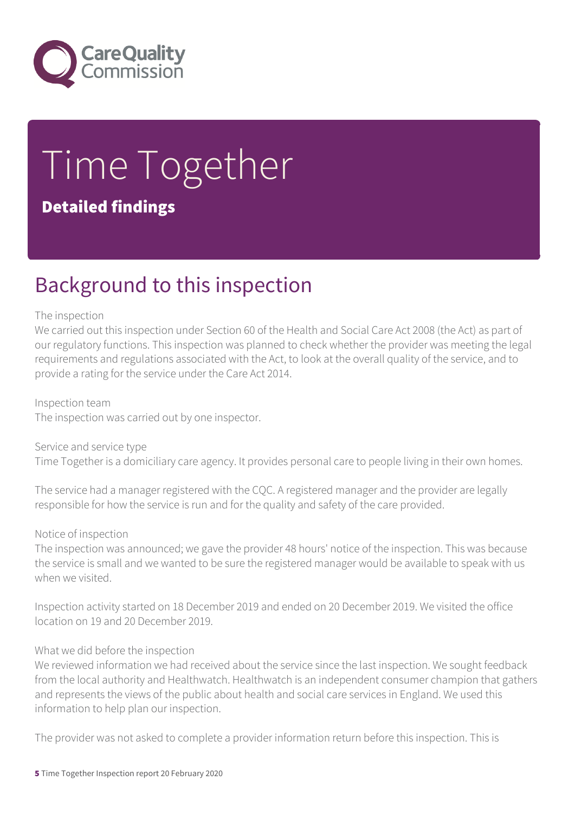

# Time Together

#### Detailed findings

### Background to this inspection

#### The inspection

We carried out this inspection under Section 60 of the Health and Social Care Act 2008 (the Act) as part of our regulatory functions. This inspection was planned to check whether the provider was meeting the legal requirements and regulations associated with the Act, to look at the overall quality of the service, and to provide a rating for the service under the Care Act 2014.

#### Inspection team

The inspection was carried out by one inspector.

Service and service type Time Together is a domiciliary care agency. It provides personal care to people living in their own homes.

The service had a manager registered with the CQC. A registered manager and the provider are legally responsible for how the service is run and for the quality and safety of the care provided.

#### Notice of inspection

The inspection was announced; we gave the provider 48 hours' notice of the inspection. This was because the service is small and we wanted to be sure the registered manager would be available to speak with us when we visited.

Inspection activity started on 18 December 2019 and ended on 20 December 2019. We visited the office location on 19 and 20 December 2019.

#### What we did before the inspection

We reviewed information we had received about the service since the last inspection. We sought feedback from the local authority and Healthwatch. Healthwatch is an independent consumer champion that gathers and represents the views of the public about health and social care services in England. We used this information to help plan our inspection.

The provider was not asked to complete a provider information return before this inspection. This is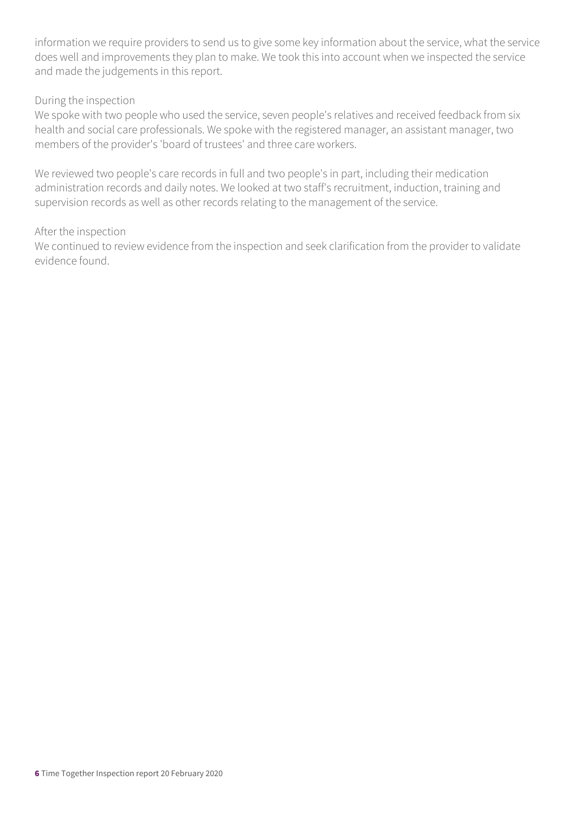information we require providers to send us to give some key information about the service, what the service does well and improvements they plan to make. We took this into account when we inspected the service and made the judgements in this report.

#### During the inspection

We spoke with two people who used the service, seven people's relatives and received feedback from six health and social care professionals. We spoke with the registered manager, an assistant manager, two members of the provider's 'board of trustees' and three care workers.

We reviewed two people's care records in full and two people's in part, including their medication administration records and daily notes. We looked at two staff's recruitment, induction, training and supervision records as well as other records relating to the management of the service.

#### After the inspection

We continued to review evidence from the inspection and seek clarification from the provider to validate evidence found.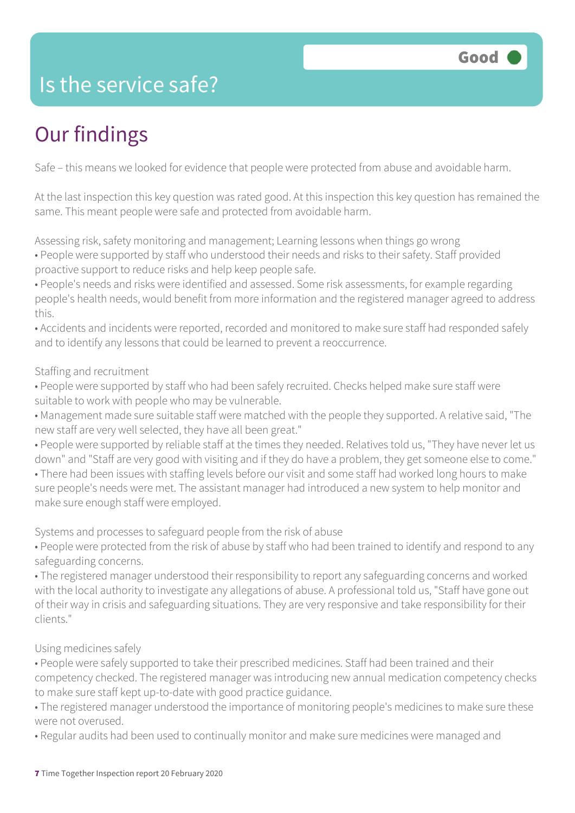### Is the service safe?

### Our findings

Safe – this means we looked for evidence that people were protected from abuse and avoidable harm.

At the last inspection this key question was rated good. At this inspection this key question has remained the same. This meant people were safe and protected from avoidable harm.

Assessing risk, safety monitoring and management; Learning lessons when things go wrong

• People were supported by staff who understood their needs and risks to their safety. Staff provided proactive support to reduce risks and help keep people safe.

• People's needs and risks were identified and assessed. Some risk assessments, for example regarding people's health needs, would benefit from more information and the registered manager agreed to address this.

• Accidents and incidents were reported, recorded and monitored to make sure staff had responded safely and to identify any lessons that could be learned to prevent a reoccurrence.

#### Staffing and recruitment

- People were supported by staff who had been safely recruited. Checks helped make sure staff were suitable to work with people who may be vulnerable.
- Management made sure suitable staff were matched with the people they supported. A relative said, "The new staff are very well selected, they have all been great."

• People were supported by reliable staff at the times they needed. Relatives told us, "They have never let us down" and "Staff are very good with visiting and if they do have a problem, they get someone else to come." • There had been issues with staffing levels before our visit and some staff had worked long hours to make sure people's needs were met. The assistant manager had introduced a new system to help monitor and make sure enough staff were employed.

Systems and processes to safeguard people from the risk of abuse

• People were protected from the risk of abuse by staff who had been trained to identify and respond to any safeguarding concerns.

• The registered manager understood their responsibility to report any safeguarding concerns and worked with the local authority to investigate any allegations of abuse. A professional told us, "Staff have gone out of their way in crisis and safeguarding situations. They are very responsive and take responsibility for their clients."

#### Using medicines safely

• People were safely supported to take their prescribed medicines. Staff had been trained and their competency checked. The registered manager was introducing new annual medication competency checks to make sure staff kept up-to-date with good practice guidance.

• The registered manager understood the importance of monitoring people's medicines to make sure these were not overused.

• Regular audits had been used to continually monitor and make sure medicines were managed and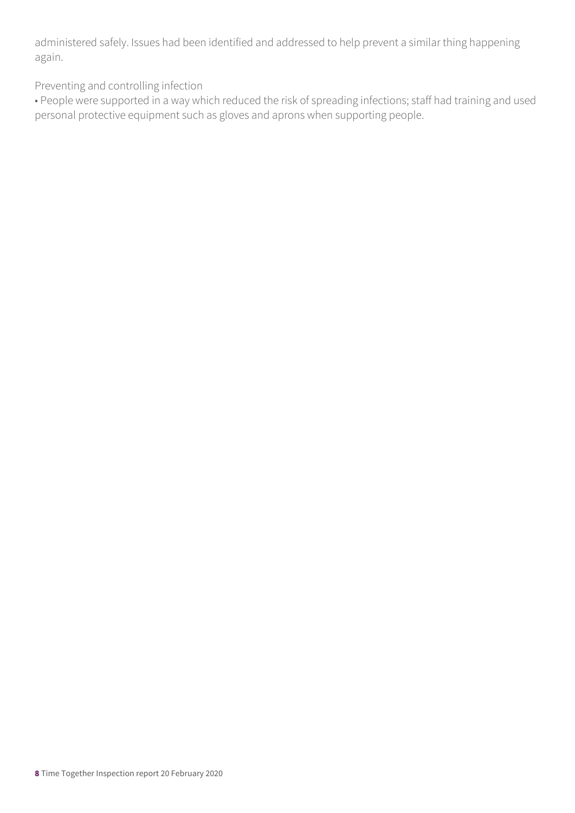administered safely. Issues had been identified and addressed to help prevent a similar thing happening again.

Preventing and controlling infection

• People were supported in a way which reduced the risk of spreading infections; staff had training and used personal protective equipment such as gloves and aprons when supporting people.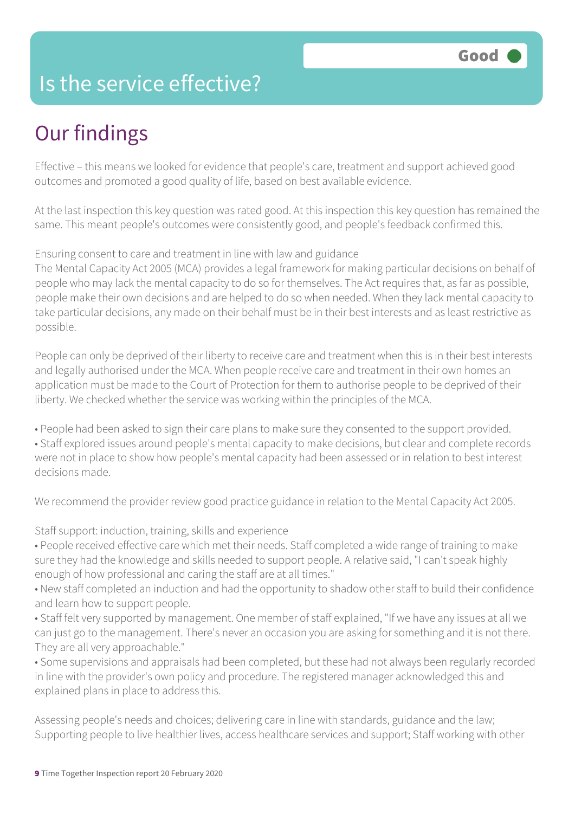### Is the service effective?

### Our findings

Effective – this means we looked for evidence that people's care, treatment and support achieved good outcomes and promoted a good quality of life, based on best available evidence.

At the last inspection this key question was rated good. At this inspection this key question has remained the same. This meant people's outcomes were consistently good, and people's feedback confirmed this.

#### Ensuring consent to care and treatment in line with law and guidance

The Mental Capacity Act 2005 (MCA) provides a legal framework for making particular decisions on behalf of people who may lack the mental capacity to do so for themselves. The Act requires that, as far as possible, people make their own decisions and are helped to do so when needed. When they lack mental capacity to take particular decisions, any made on their behalf must be in their best interests and as least restrictive as possible.

People can only be deprived of their liberty to receive care and treatment when this is in their best interests and legally authorised under the MCA. When people receive care and treatment in their own homes an application must be made to the Court of Protection for them to authorise people to be deprived of their liberty. We checked whether the service was working within the principles of the MCA.

• People had been asked to sign their care plans to make sure they consented to the support provided. • Staff explored issues around people's mental capacity to make decisions, but clear and complete records were not in place to show how people's mental capacity had been assessed or in relation to best interest decisions made.

We recommend the provider review good practice guidance in relation to the Mental Capacity Act 2005.

Staff support: induction, training, skills and experience

• People received effective care which met their needs. Staff completed a wide range of training to make sure they had the knowledge and skills needed to support people. A relative said, "I can't speak highly enough of how professional and caring the staff are at all times."

• New staff completed an induction and had the opportunity to shadow other staff to build their confidence and learn how to support people.

• Staff felt very supported by management. One member of staff explained, "If we have any issues at all we can just go to the management. There's never an occasion you are asking for something and it is not there. They are all very approachable."

• Some supervisions and appraisals had been completed, but these had not always been regularly recorded in line with the provider's own policy and procedure. The registered manager acknowledged this and explained plans in place to address this.

Assessing people's needs and choices; delivering care in line with standards, guidance and the law; Supporting people to live healthier lives, access healthcare services and support; Staff working with other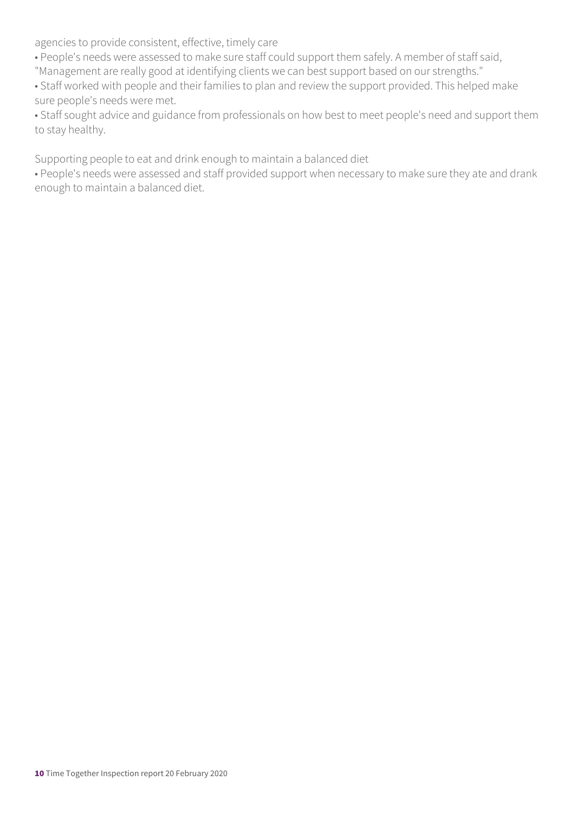agencies to provide consistent, effective, timely care

• People's needs were assessed to make sure staff could support them safely. A member of staff said,

"Management are really good at identifying clients we can best support based on our strengths."

• Staff worked with people and their families to plan and review the support provided. This helped make sure people's needs were met.

• Staff sought advice and guidance from professionals on how best to meet people's need and support them to stay healthy.

Supporting people to eat and drink enough to maintain a balanced diet

• People's needs were assessed and staff provided support when necessary to make sure they ate and drank enough to maintain a balanced diet.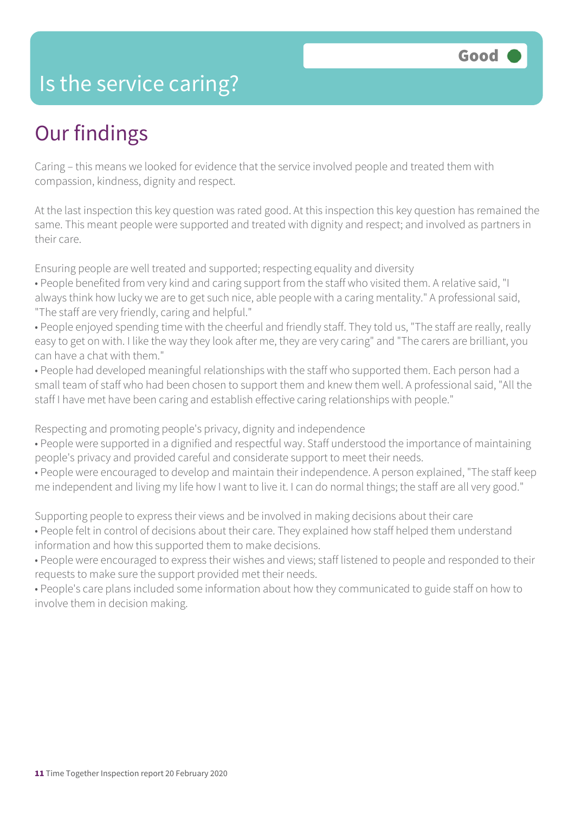### Is the service caring?

### Our findings

Caring – this means we looked for evidence that the service involved people and treated them with compassion, kindness, dignity and respect.

At the last inspection this key question was rated good. At this inspection this key question has remained the same. This meant people were supported and treated with dignity and respect; and involved as partners in their care.

Ensuring people are well treated and supported; respecting equality and diversity

• People benefited from very kind and caring support from the staff who visited them. A relative said, "I always think how lucky we are to get such nice, able people with a caring mentality." A professional said, "The staff are very friendly, caring and helpful."

• People enjoyed spending time with the cheerful and friendly staff. They told us, "The staff are really, really easy to get on with. I like the way they look after me, they are very caring" and "The carers are brilliant, you can have a chat with them."

• People had developed meaningful relationships with the staff who supported them. Each person had a small team of staff who had been chosen to support them and knew them well. A professional said, "All the staff I have met have been caring and establish effective caring relationships with people."

Respecting and promoting people's privacy, dignity and independence

• People were supported in a dignified and respectful way. Staff understood the importance of maintaining people's privacy and provided careful and considerate support to meet their needs.

• People were encouraged to develop and maintain their independence. A person explained, "The staff keep me independent and living my life how I want to live it. I can do normal things; the staff are all very good."

Supporting people to express their views and be involved in making decisions about their care

• People felt in control of decisions about their care. They explained how staff helped them understand information and how this supported them to make decisions.

• People were encouraged to express their wishes and views; staff listened to people and responded to their requests to make sure the support provided met their needs.

• People's care plans included some information about how they communicated to guide staff on how to involve them in decision making.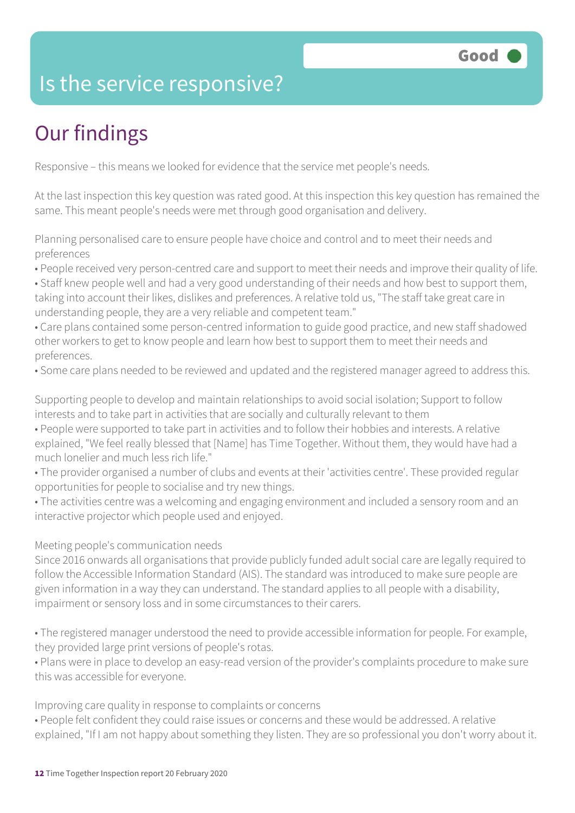### Is the service responsive?

### Our findings

Responsive – this means we looked for evidence that the service met people's needs.

At the last inspection this key question was rated good. At this inspection this key question has remained the same. This meant people's needs were met through good organisation and delivery.

Planning personalised care to ensure people have choice and control and to meet their needs and preferences

• People received very person-centred care and support to meet their needs and improve their quality of life.

- Staff knew people well and had a very good understanding of their needs and how best to support them, taking into account their likes, dislikes and preferences. A relative told us, "The staff take great care in understanding people, they are a very reliable and competent team."
- Care plans contained some person-centred information to guide good practice, and new staff shadowed other workers to get to know people and learn how best to support them to meet their needs and preferences.
- Some care plans needed to be reviewed and updated and the registered manager agreed to address this.

Supporting people to develop and maintain relationships to avoid social isolation; Support to follow interests and to take part in activities that are socially and culturally relevant to them

- People were supported to take part in activities and to follow their hobbies and interests. A relative explained, "We feel really blessed that [Name] has Time Together. Without them, they would have had a much lonelier and much less rich life."
- The provider organised a number of clubs and events at their 'activities centre'. These provided regular opportunities for people to socialise and try new things.
- The activities centre was a welcoming and engaging environment and included a sensory room and an interactive projector which people used and enjoyed.

#### Meeting people's communication needs

Since 2016 onwards all organisations that provide publicly funded adult social care are legally required to follow the Accessible Information Standard (AIS). The standard was introduced to make sure people are given information in a way they can understand. The standard applies to all people with a disability, impairment or sensory loss and in some circumstances to their carers.

• The registered manager understood the need to provide accessible information for people. For example, they provided large print versions of people's rotas.

• Plans were in place to develop an easy-read version of the provider's complaints procedure to make sure this was accessible for everyone.

Improving care quality in response to complaints or concerns

• People felt confident they could raise issues or concerns and these would be addressed. A relative explained, "If I am not happy about something they listen. They are so professional you don't worry about it.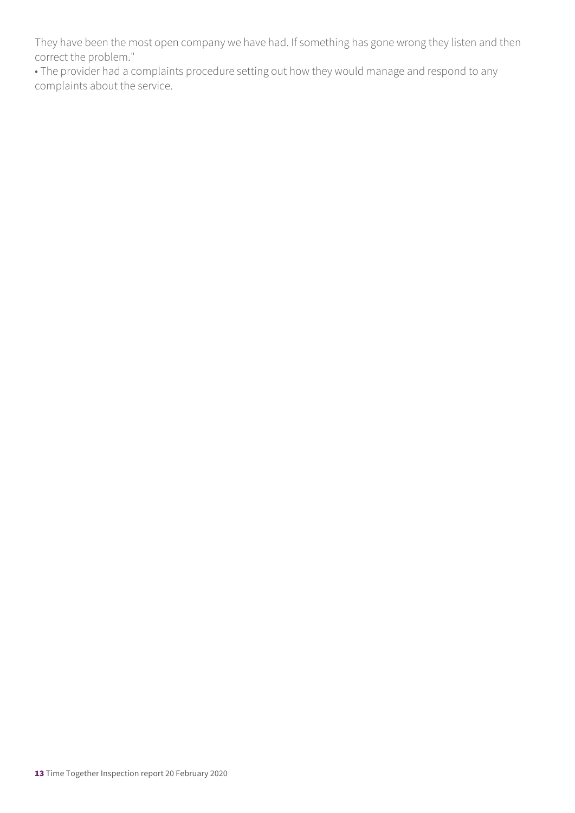They have been the most open company we have had. If something has gone wrong they listen and then correct the problem."

• The provider had a complaints procedure setting out how they would manage and respond to any complaints about the service.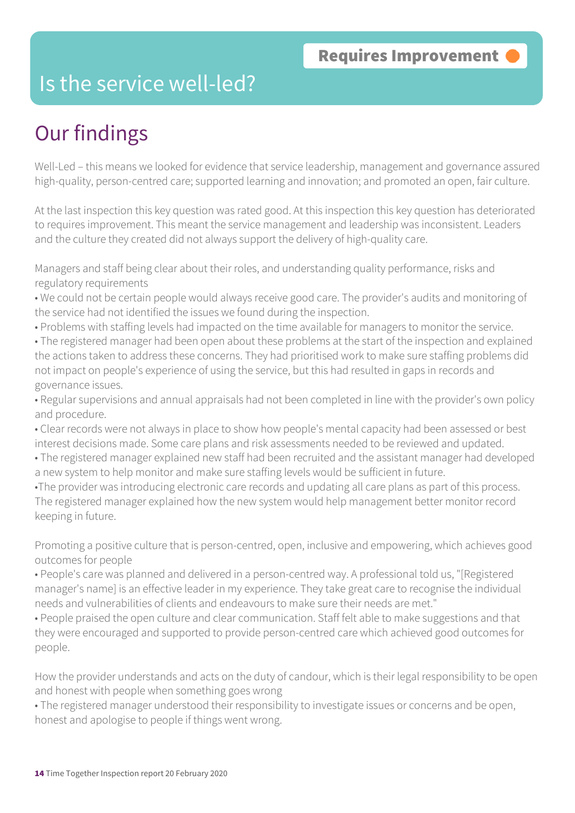### Is the service well-led?

### Our findings

Well-Led – this means we looked for evidence that service leadership, management and governance assured high-quality, person-centred care; supported learning and innovation; and promoted an open, fair culture.

At the last inspection this key question was rated good. At this inspection this key question has deteriorated to requires improvement. This meant the service management and leadership was inconsistent. Leaders and the culture they created did not always support the delivery of high-quality care.

Managers and staff being clear about their roles, and understanding quality performance, risks and regulatory requirements

- We could not be certain people would always receive good care. The provider's audits and monitoring of the service had not identified the issues we found during the inspection.
- Problems with staffing levels had impacted on the time available for managers to monitor the service.
- The registered manager had been open about these problems at the start of the inspection and explained the actions taken to address these concerns. They had prioritised work to make sure staffing problems did not impact on people's experience of using the service, but this had resulted in gaps in records and governance issues.
- Regular supervisions and annual appraisals had not been completed in line with the provider's own policy and procedure.
- Clear records were not always in place to show how people's mental capacity had been assessed or best interest decisions made. Some care plans and risk assessments needed to be reviewed and updated.
- The registered manager explained new staff had been recruited and the assistant manager had developed a new system to help monitor and make sure staffing levels would be sufficient in future.
- •The provider was introducing electronic care records and updating all care plans as part of this process. The registered manager explained how the new system would help management better monitor record keeping in future.

Promoting a positive culture that is person-centred, open, inclusive and empowering, which achieves good outcomes for people

- People's care was planned and delivered in a person-centred way. A professional told us, "[Registered manager's name] is an effective leader in my experience. They take great care to recognise the individual needs and vulnerabilities of clients and endeavours to make sure their needs are met."
- People praised the open culture and clear communication. Staff felt able to make suggestions and that they were encouraged and supported to provide person-centred care which achieved good outcomes for people.

How the provider understands and acts on the duty of candour, which is their legal responsibility to be open and honest with people when something goes wrong

• The registered manager understood their responsibility to investigate issues or concerns and be open, honest and apologise to people if things went wrong.